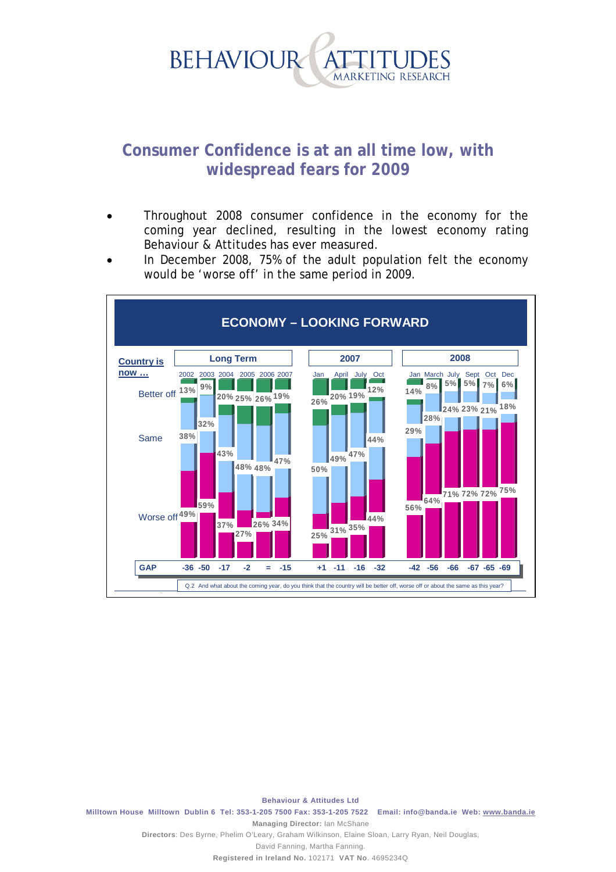

## **Consumer Confidence is at an all time low, with widespread fears for 2009**

- Throughout 2008 consumer confidence in the economy for the coming year declined, resulting in the lowest economy rating Behaviour & Attitudes has ever measured.
- In December 2008, 75% of the adult population felt the economy would be 'worse off' in the same period in 2009.



**Behaviour & Attitudes Ltd Milltown House Milltown Dublin 6 Tel: 353-1-205 7500 Fax: 353-1-205 7522 Email: info@banda.ie Web: www.banda.ie Managing Director:** Ian McShane **Directors**: Des Byrne, Phelim O'Leary, Graham Wilkinson, Elaine Sloan, Larry Ryan, Neil Douglas,

David Fanning, Martha Fanning.

**Registered in Ireland No.** 102171 **VAT No**. 4695234Q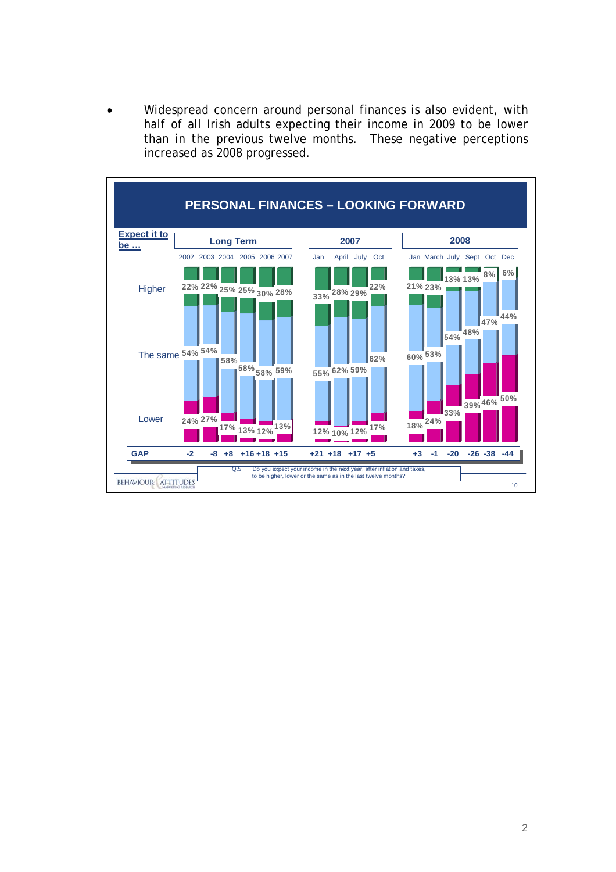Widespread concern around personal finances is also evident, with half of all Irish adults expecting their income in 2009 to be lower than in the previous twelve months. These negative perceptions increased as 2008 progressed.

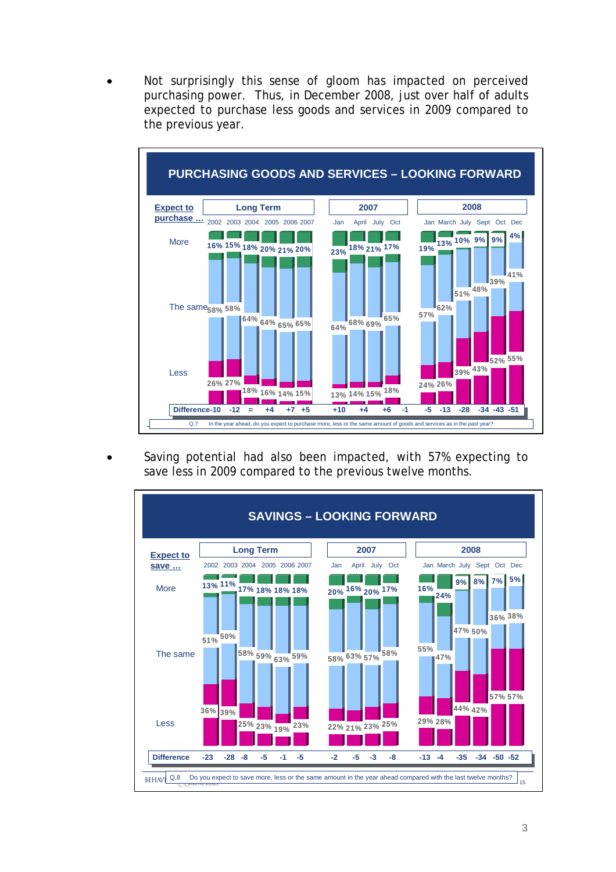Not surprisingly this sense of gloom has impacted on perceived purchasing power. Thus, in December 2008, just over half of adults expected to purchase less goods and services in 2009 compared to the previous year.



Saving potential had also been impacted, with 57% expecting to save less in 2009 compared to the previous twelve months.